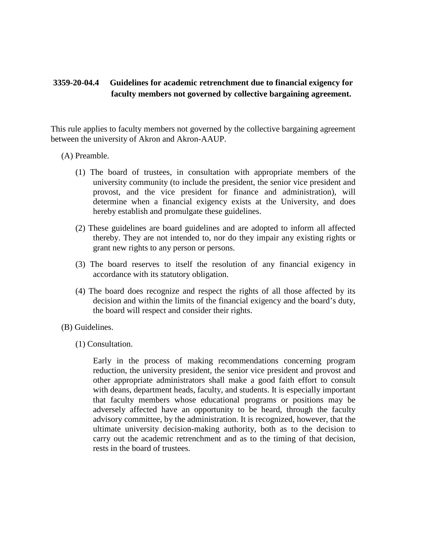## **3359-20-04.4 Guidelines for academic retrenchment due to financial exigency for faculty members not governed by collective bargaining agreement.**

This rule applies to faculty members not governed by the collective bargaining agreement between the university of Akron and Akron-AAUP.

- (A) Preamble.
	- (1) The board of trustees, in consultation with appropriate members of the university community (to include the president, the senior vice president and provost, and the vice president for finance and administration), will determine when a financial exigency exists at the University, and does hereby establish and promulgate these guidelines.
	- (2) These guidelines are board guidelines and are adopted to inform all affected thereby. They are not intended to, nor do they impair any existing rights or grant new rights to any person or persons.
	- (3) The board reserves to itself the resolution of any financial exigency in accordance with its statutory obligation.
	- (4) The board does recognize and respect the rights of all those affected by its decision and within the limits of the financial exigency and the board's duty, the board will respect and consider their rights.
- (B) Guidelines.
	- (1) Consultation.

Early in the process of making recommendations concerning program reduction, the university president, the senior vice president and provost and other appropriate administrators shall make a good faith effort to consult with deans, department heads, faculty, and students. It is especially important that faculty members whose educational programs or positions may be adversely affected have an opportunity to be heard, through the faculty advisory committee, by the administration. It is recognized, however, that the ultimate university decision-making authority, both as to the decision to carry out the academic retrenchment and as to the timing of that decision, rests in the board of trustees.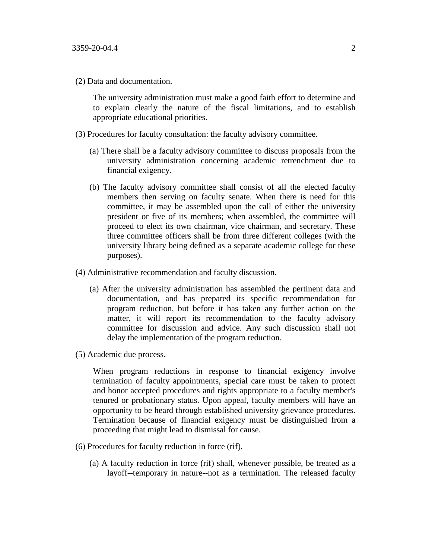(2) Data and documentation.

The university administration must make a good faith effort to determine and to explain clearly the nature of the fiscal limitations, and to establish appropriate educational priorities.

- (3) Procedures for faculty consultation: the faculty advisory committee.
	- (a) There shall be a faculty advisory committee to discuss proposals from the university administration concerning academic retrenchment due to financial exigency.
	- (b) The faculty advisory committee shall consist of all the elected faculty members then serving on faculty senate. When there is need for this committee, it may be assembled upon the call of either the university president or five of its members; when assembled, the committee will proceed to elect its own chairman, vice chairman, and secretary. These three committee officers shall be from three different colleges (with the university library being defined as a separate academic college for these purposes).
- (4) Administrative recommendation and faculty discussion.
	- (a) After the university administration has assembled the pertinent data and documentation, and has prepared its specific recommendation for program reduction, but before it has taken any further action on the matter, it will report its recommendation to the faculty advisory committee for discussion and advice. Any such discussion shall not delay the implementation of the program reduction.
- (5) Academic due process.

When program reductions in response to financial exigency involve termination of faculty appointments, special care must be taken to protect and honor accepted procedures and rights appropriate to a faculty member's tenured or probationary status. Upon appeal, faculty members will have an opportunity to be heard through established university grievance procedures. Termination because of financial exigency must be distinguished from a proceeding that might lead to dismissal for cause.

- (6) Procedures for faculty reduction in force (rif).
	- (a) A faculty reduction in force (rif) shall, whenever possible, be treated as a layoff--temporary in nature--not as a termination. The released faculty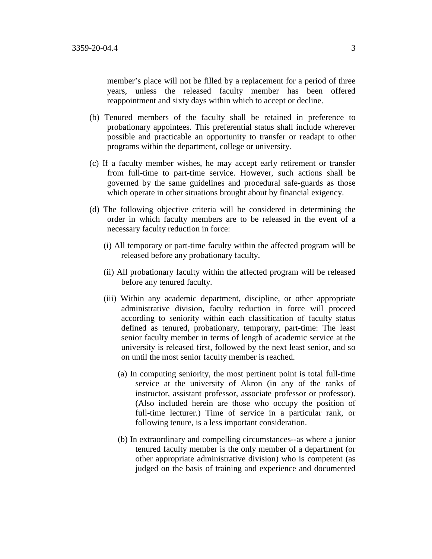member's place will not be filled by a replacement for a period of three years, unless the released faculty member has been offered reappointment and sixty days within which to accept or decline.

- (b) Tenured members of the faculty shall be retained in preference to probationary appointees. This preferential status shall include wherever possible and practicable an opportunity to transfer or readapt to other programs within the department, college or university.
- (c) If a faculty member wishes, he may accept early retirement or transfer from full-time to part-time service. However, such actions shall be governed by the same guidelines and procedural safe-guards as those which operate in other situations brought about by financial exigency.
- (d) The following objective criteria will be considered in determining the order in which faculty members are to be released in the event of a necessary faculty reduction in force:
	- (i) All temporary or part-time faculty within the affected program will be released before any probationary faculty.
	- (ii) All probationary faculty within the affected program will be released before any tenured faculty.
	- (iii) Within any academic department, discipline, or other appropriate administrative division, faculty reduction in force will proceed according to seniority within each classification of faculty status defined as tenured, probationary, temporary, part-time: The least senior faculty member in terms of length of academic service at the university is released first, followed by the next least senior, and so on until the most senior faculty member is reached.
		- (a) In computing seniority, the most pertinent point is total full-time service at the university of Akron (in any of the ranks of instructor, assistant professor, associate professor or professor). (Also included herein are those who occupy the position of full-time lecturer.) Time of service in a particular rank, or following tenure, is a less important consideration.
		- (b) In extraordinary and compelling circumstances--as where a junior tenured faculty member is the only member of a department (or other appropriate administrative division) who is competent (as judged on the basis of training and experience and documented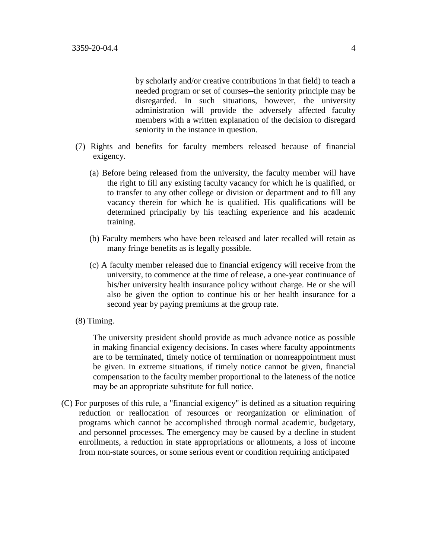by scholarly and/or creative contributions in that field) to teach a needed program or set of courses--the seniority principle may be disregarded. In such situations, however, the university administration will provide the adversely affected faculty members with a written explanation of the decision to disregard seniority in the instance in question.

- (7) Rights and benefits for faculty members released because of financial exigency.
	- (a) Before being released from the university, the faculty member will have the right to fill any existing faculty vacancy for which he is qualified, or to transfer to any other college or division or department and to fill any vacancy therein for which he is qualified. His qualifications will be determined principally by his teaching experience and his academic training.
	- (b) Faculty members who have been released and later recalled will retain as many fringe benefits as is legally possible.
	- (c) A faculty member released due to financial exigency will receive from the university, to commence at the time of release, a one-year continuance of his/her university health insurance policy without charge. He or she will also be given the option to continue his or her health insurance for a second year by paying premiums at the group rate.
- (8) Timing.

The university president should provide as much advance notice as possible in making financial exigency decisions. In cases where faculty appointments are to be terminated, timely notice of termination or nonreappointment must be given. In extreme situations, if timely notice cannot be given, financial compensation to the faculty member proportional to the lateness of the notice may be an appropriate substitute for full notice.

(C) For purposes of this rule, a "financial exigency" is defined as a situation requiring reduction or reallocation of resources or reorganization or elimination of programs which cannot be accomplished through normal academic, budgetary, and personnel processes. The emergency may be caused by a decline in student enrollments, a reduction in state appropriations or allotments, a loss of income from non-state sources, or some serious event or condition requiring anticipated